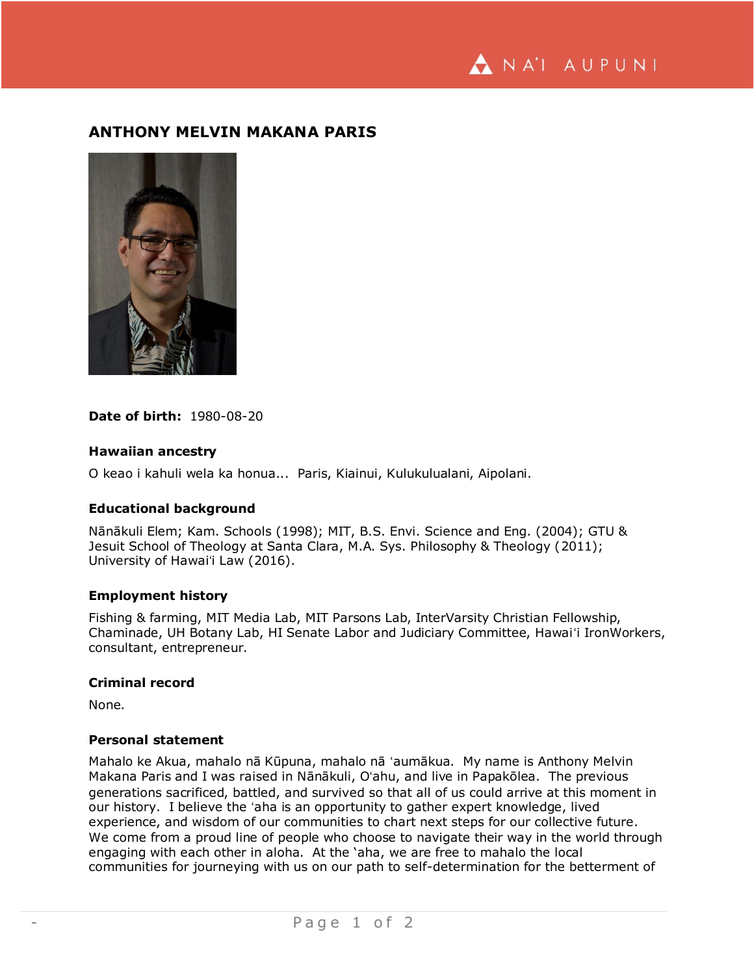NA'I AUPUNI

# **ANTHONY MELVIN MAKANA PARIS**



**Date of birth:** 1980-08-20

### **Hawaiian ancestry**

O keao i kahuli wela ka honua... Paris, Kiainui, Kulukulualani, Aipolani.

#### **Educational background**

Nānākuli Elem; Kam. Schools (1998); MIT, B.S. Envi. Science and Eng. (2004); GTU & Jesuit School of Theology at Santa Clara, M.A. Sys. Philosophy & Theology (2011); University of Hawaiʻi Law (2016).

# **Employment history**

Fishing & farming, MIT Media Lab, MIT Parsons Lab, InterVarsity Christian Fellowship, Chaminade, UH Botany Lab, HI Senate Labor and Judiciary Committee, Hawaiʻi IronWorkers, consultant, entrepreneur.

#### **Criminal record**

None.

### **Personal statement**

Mahalo ke Akua, mahalo nā Kūpuna, mahalo nā ʻaumākua. My name is Anthony Melvin Makana Paris and I was raised in Nānākuli, Oʻahu, and live in Papakōlea. The previous generations sacrificed, battled, and survived so that all of us could arrive at this moment in our history. I believe the ʻaha is an opportunity to gather expert knowledge, lived experience, and wisdom of our communities to chart next steps for our collective future. We come from a proud line of people who choose to navigate their way in the world through engaging with each other in aloha. At the 'aha, we are free to mahalo the local communities for journeying with us on our path to self-determination for the betterment of